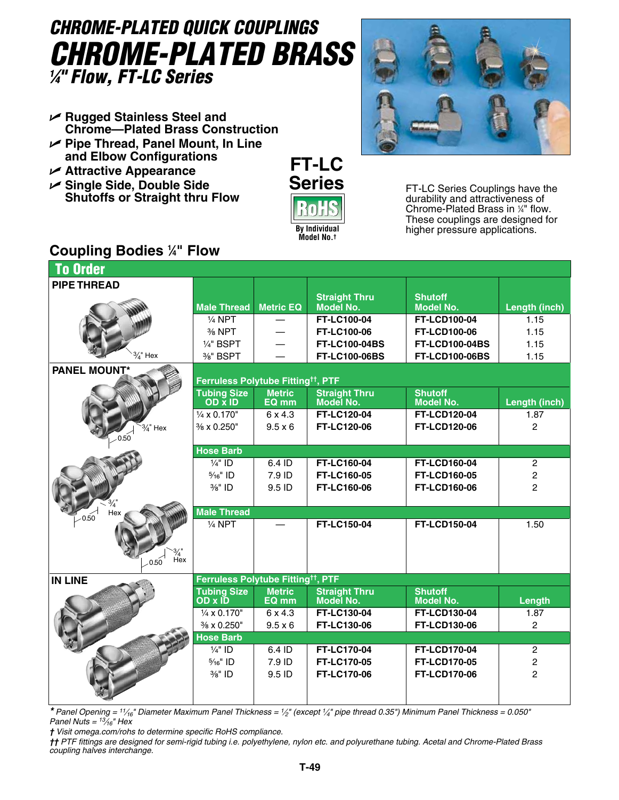# *CHROME-PLATED QUICK COUPLINGS Chrome-Plated Brass 1 ⁄4" Flow, FT-LC Series*

- U **Rugged Stainless Steel and Chrome—Plated Brass Construction**
- U **Pipe Thread, Panel Mount, In Line and Elbow Configurations**
- U **Attractive Appearance**
- U **Single Side, Double Side Shutoffs or Straight thru Flow**





FT-LC Series Couplings have the durability and attractiveness of Chrome-Plated Brass in 1 ⁄4" flow. These couplings are designed for higher pressure applications.

## **Coupling Bodies 1 ⁄4" Flow**

| <b>To Order</b>             |                                                |                        |                                   |                                    |                      |  |  |  |  |  |  |  |
|-----------------------------|------------------------------------------------|------------------------|-----------------------------------|------------------------------------|----------------------|--|--|--|--|--|--|--|
| <b>PIPE THREAD</b>          |                                                |                        |                                   |                                    |                      |  |  |  |  |  |  |  |
|                             |                                                |                        | <b>Straight Thru</b>              | <b>Shutoff</b>                     |                      |  |  |  |  |  |  |  |
|                             | <b>Male Thread</b>                             | <b>Metric EQ</b>       | <b>Model No.</b>                  | <b>Model No.</b>                   | Length (inch)        |  |  |  |  |  |  |  |
|                             | $1/4$ NPT                                      |                        | <b>FT-LC100-04</b>                | <b>FT-LCD100-04</b>                | 1.15                 |  |  |  |  |  |  |  |
|                             | 3/ <sub>8</sub> NPT                            |                        | FT-LC100-06                       | <b>FT-LCD100-06</b>                | 1.15                 |  |  |  |  |  |  |  |
|                             | $1/4"$ BSPT                                    |                        | <b>FT-LC100-04BS</b>              | <b>FT-LCD100-04BS</b>              | 1.15                 |  |  |  |  |  |  |  |
| $\frac{3}{4}$ " Hex         | %" BSPT                                        |                        | <b>FT-LC100-06BS</b>              | <b>FT-LCD100-06BS</b>              | 1.15                 |  |  |  |  |  |  |  |
| <b>PANEL MOUNT*</b>         |                                                |                        |                                   |                                    |                      |  |  |  |  |  |  |  |
|                             | Ferruless Polytube Fitting <sup>tt</sup> , PTF |                        |                                   |                                    |                      |  |  |  |  |  |  |  |
|                             | <b>Tubing Size</b><br>OD X ID                  | <b>Metric</b><br>EQ mm | <b>Straight Thru</b><br>Model No. | <b>Shutoff</b><br><b>Model No.</b> | Length (inch)        |  |  |  |  |  |  |  |
|                             | $\frac{1}{4}$ x 0.170"                         | 6 x 4.3                | FT-LC120-04                       | <b>FT-LCD120-04</b>                |                      |  |  |  |  |  |  |  |
|                             | % x 0.250"                                     | $9.5 \times 6$         | FT-LC120-06                       | <b>FT-LCD120-06</b>                | 1.87<br>$\mathbf{2}$ |  |  |  |  |  |  |  |
| $\frac{3}{4}$ " Hex<br>0.50 |                                                |                        |                                   |                                    |                      |  |  |  |  |  |  |  |
|                             | <b>Hose Barb</b>                               |                        |                                   |                                    |                      |  |  |  |  |  |  |  |
|                             | $\frac{1}{4}$ " ID                             | 6.4 ID                 | FT-LC160-04                       | <b>FT-LCD160-04</b>                | $\overline{c}$       |  |  |  |  |  |  |  |
|                             | $\frac{5}{16}$ " ID                            | 7.9 ID                 | FT-LC160-05                       | <b>FT-LCD160-05</b>                | $\overline{c}$       |  |  |  |  |  |  |  |
|                             | 3/8" ID                                        | 9.5 ID                 | FT-LC160-06                       | <b>FT-LCD160-06</b>                | $\overline{2}$       |  |  |  |  |  |  |  |
|                             |                                                |                        |                                   |                                    |                      |  |  |  |  |  |  |  |
| $\frac{3}{4}$<br>Hex        | <b>Male Thread</b>                             |                        |                                   |                                    |                      |  |  |  |  |  |  |  |
| 0.50                        | $1/4$ NPT                                      |                        | FT-LC150-04                       | <b>FT-LCD150-04</b>                | 1.50                 |  |  |  |  |  |  |  |
|                             |                                                |                        |                                   |                                    |                      |  |  |  |  |  |  |  |
|                             |                                                |                        |                                   |                                    |                      |  |  |  |  |  |  |  |
| $\frac{3}{4}$ Hex<br>0.50   |                                                |                        |                                   |                                    |                      |  |  |  |  |  |  |  |
|                             |                                                |                        |                                   |                                    |                      |  |  |  |  |  |  |  |
| <b>IN LINE</b>              | Ferruless Polytube Fitting <sup>tt</sup> , PTF |                        |                                   |                                    |                      |  |  |  |  |  |  |  |
|                             | <b>Tubing Size</b><br>OD x ID                  | <b>Metric</b><br>EQ mm | <b>Straight Thru</b><br>Model No. | <b>Shutoff</b><br><b>Model No.</b> | Length               |  |  |  |  |  |  |  |
|                             | $\frac{1}{4}$ x 0.170"                         | $6 \times 4.3$         | FT-LC130-04                       | <b>FT-LCD130-04</b>                | 1.87                 |  |  |  |  |  |  |  |
|                             | % x 0.250"                                     | $9.5 \times 6$         | FT-LC130-06                       | <b>FT-LCD130-06</b>                | $\overline{2}$       |  |  |  |  |  |  |  |
|                             | <b>Hose Barb</b>                               |                        |                                   |                                    |                      |  |  |  |  |  |  |  |
|                             | $\frac{1}{4}$ " ID                             | 6.4 ID                 | <b>FT-LC170-04</b>                | <b>FT-LCD170-04</b>                | $\overline{c}$       |  |  |  |  |  |  |  |
|                             | $\frac{5}{16}$ " ID                            | 7.9 ID                 | <b>FT-LC170-05</b>                | <b>FT-LCD170-05</b>                | $\overline{c}$       |  |  |  |  |  |  |  |
|                             | 3/8" ID                                        | 9.5 ID                 | <b>FT-LC170-06</b>                | <b>FT-LCD170-06</b>                |                      |  |  |  |  |  |  |  |
|                             |                                                |                        |                                   |                                    |                      |  |  |  |  |  |  |  |
|                             |                                                |                        |                                   |                                    |                      |  |  |  |  |  |  |  |

*\* Panel Opening = 11⁄16" Diameter Maximum Panel Thickness = 1⁄2" (except 1⁄4" pipe thread 0.35") Minimum Panel Thickness = 0.050" Panel Nuts = 13⁄16" Hex*

*† Visit omega.com/rohs to determine specific RoHS compliance.*

*†† PTF fittings are designed for semi-rigid tubing i.e. polyethylene, nylon etc. and polyurethane tubing. Acetal and Chrome-Plated Brass coupling halves interchange.*